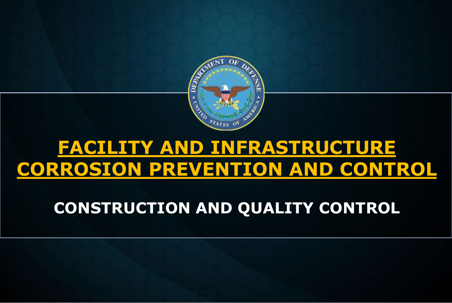

# **CORROSION PREVENTION AND CONTROL FACILITY AND INFRASTRUCTURE**

# **CONSTRUCTION AND QUALITY CONTROL**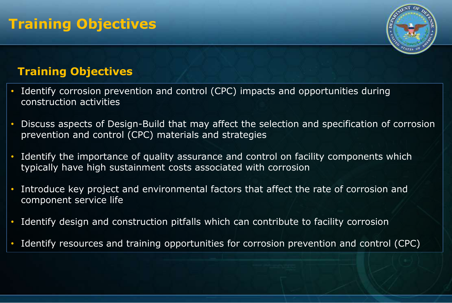# **Training Objectives**

#### **Training Objectives**

- Identify corrosion prevention and control (CPC) impacts and opportunities during construction activities
- Discuss aspects of Design-Build that may affect the selection and specification of corrosion prevention and control (CPC) materials and strategies
- Identify the importance of quality assurance and control on facility components which typically have high sustainment costs associated with corrosion
- Introduce key project and environmental factors that affect the rate of corrosion and component service life
- Identify design and construction pitfalls which can contribute to facility corrosion
- Identify resources and training opportunities for corrosion prevention and control (CPC)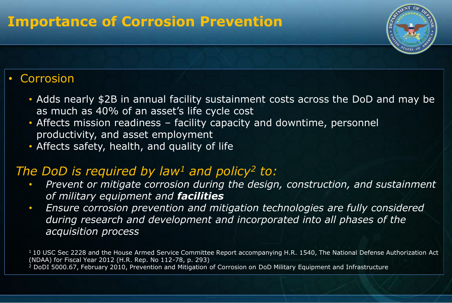# **Importance of Corrosion Prevention**

#### • Corrosion

- Adds nearly \$2B in annual facility sustainment costs across the DoD and may be as much as 40% of an asset's life cycle cost
- Affects mission readiness facility capacity and downtime, personnel productivity, and asset employment
- Affects safety, health, and quality of life

#### *The DoD is required by law<sup>1</sup> and policy<sup>2</sup> to:*

- *Prevent or mitigate corrosion during the design, construction, and sustainment of military equipment and facilities*
- *Ensure corrosion prevention and mitigation technologies are fully considered during research and development and incorporated into all phases of the acquisition process*

<sup>1</sup> 10 USC Sec 2228 and the House Armed Service Committee Report accompanying H.R. 1540, The National Defense Authorization Act (NDAA) for Fiscal Year 2012 (H.R. Rep. No 112-78, p. 293) <sup>2</sup> DoDI 5000.67, February 2010, Prevention and Mitigation of Corrosion on DoD Military Equipment and Infrastructure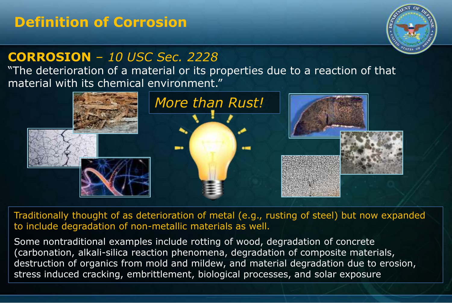# **Definition of Corrosion**



### **CORROSION** *– 10 USC Sec. 2228*

"The deterioration of a material or its properties due to a reaction of that material with its chemical environment."



Traditionally thought of as deterioration of metal (e.g., rusting of steel) but now expanded to include degradation of non-metallic materials as well.

Some nontraditional examples include rotting of wood, degradation of concrete (carbonation, alkali-silica reaction phenomena, degradation of composite materials, destruction of organics from mold and mildew, and material degradation due to erosion, stress induced cracking, embrittlement, biological processes, and solar exposure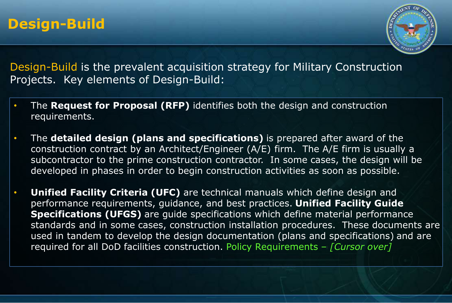# **Design-Build**



Design-Build is the prevalent acquisition strategy for Military Construction Projects. Key elements of Design-Build:

- The **Request for Proposal (RFP)** identifies both the design and construction requirements.
- The **detailed design (plans and specifications)** is prepared after award of the construction contract by an Architect/Engineer (A/E) firm. The A/E firm is usually a subcontractor to the prime construction contractor. In some cases, the design will be developed in phases in order to begin construction activities as soon as possible.
- **Unified Facility Criteria (UFC)** are technical manuals which define design and performance requirements, guidance, and best practices. **Unified Facility Guide Specifications (UFGS)** are guide specifications which define material performance standards and in some cases, construction installation procedures. These documents are used in tandem to develop the design documentation (plans and specifications) and are required for all DoD facilities construction. Policy Requirements – *[Cursor over]*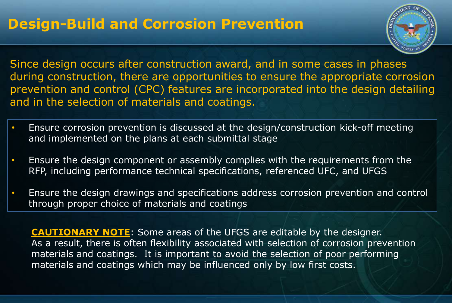# **Design-Build and Corrosion Prevention**



Since design occurs after construction award, and in some cases in phases during construction, there are opportunities to ensure the appropriate corrosion prevention and control (CPC) features are incorporated into the design detailing and in the selection of materials and coatings.

- Ensure corrosion prevention is discussed at the design/construction kick-off meeting and implemented on the plans at each submittal stage
- Ensure the design component or assembly complies with the requirements from the RFP, including performance technical specifications, referenced UFC, and UFGS
- Ensure the design drawings and specifications address corrosion prevention and control through proper choice of materials and coatings

**CAUTIONARY NOTE**: Some areas of the UFGS are editable by the designer. As a result, there is often flexibility associated with selection of corrosion prevention materials and coatings. It is important to avoid the selection of poor performing materials and coatings which may be influenced only by low first costs.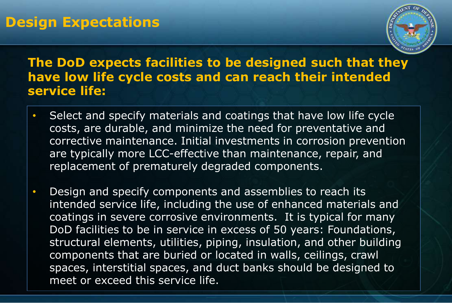

#### **The DoD expects facilities to be designed such that they have low life cycle costs and can reach their intended service life:**

- Select and specify materials and coatings that have low life cycle costs, are durable, and minimize the need for preventative and corrective maintenance. Initial investments in corrosion prevention are typically more LCC-effective than maintenance, repair, and replacement of prematurely degraded components.
- Design and specify components and assemblies to reach its intended service life, including the use of enhanced materials and coatings in severe corrosive environments. It is typical for many DoD facilities to be in service in excess of 50 years: Foundations, structural elements, utilities, piping, insulation, and other building components that are buried or located in walls, ceilings, crawl spaces, interstitial spaces, and duct banks should be designed to meet or exceed this service life.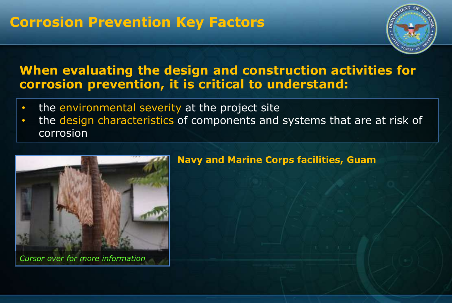## **Corrosion Prevention Key Factors**



#### **When evaluating the design and construction activities for corrosion prevention, it is critical to understand:**

- the environmental severity at the project site
- the design characteristics of components and systems that are at risk of corrosion



#### **Navy and Marine Corps facilities, Guam**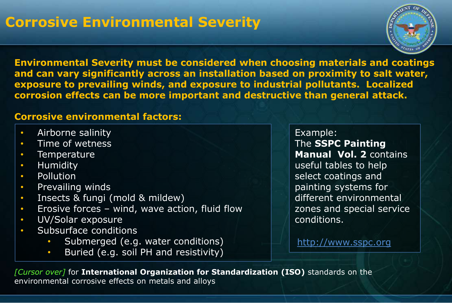### **Corrosive Environmental Severity**



**Environmental Severity must be considered when choosing materials and coatings and can vary significantly across an installation based on proximity to salt water, exposure to prevailing winds, and exposure to industrial pollutants. Localized corrosion effects can be more important and destructive than general attack.**

#### **Corrosive environmental factors:**

- Airborne salinity
- Time of wetness
- Temperature
- Humidity
- Pollution
- Prevailing winds
- Insects & fungi (mold & mildew)
- Erosive forces wind, wave action, fluid flow
- UV/Solar exposure
- Subsurface conditions
	- Submerged (e.g. water conditions)
	- Buried (e.g. soil PH and resistivity)

Example: The **SSPC Painting Manual Vol. 2** contains useful tables to help select coatings and painting systems for different environmental zones and special service conditions.

#### [http://www.sspc.org](http://www.sspc.org/)

*[Cursor over]* for **International Organization for Standardization (ISO)** standards on the environmental corrosive effects on metals and alloys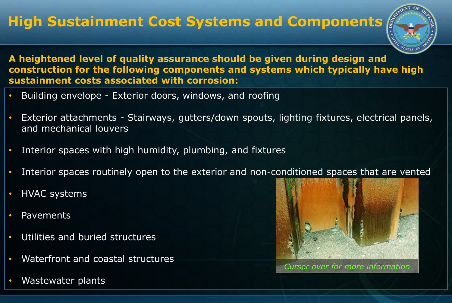# **High Sustainment Cost Systems and Components**



**A heightened level of quality assurance should be given during design and construction for the following components and systems which typically have high sustainment costs associated with corrosion:**

- Building envelope Exterior doors, windows, and roofing
- Exterior attachments Stairways, gutters/down spouts, lighting fixtures, electrical panels, and mechanical louvers
- Interior spaces with high humidity, plumbing, and fixtures
- Interior spaces routinely open to the exterior and non-conditioned spaces that are vented
- HVAC systems
- Pavements
- Utilities and buried structures
- Waterfront and coastal structures
- Wastewater plants

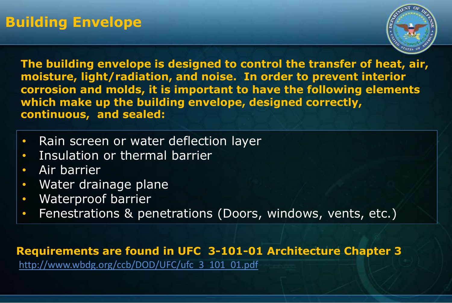

**The building envelope is designed to control the transfer of heat, air, moisture, light/radiation, and noise. In order to prevent interior corrosion and molds, it is important to have the following elements which make up the building envelope, designed correctly, continuous, and sealed:**

- Rain screen or water deflection layer
- Insulation or thermal barrier
- Air barrier
- Water drainage plane
- Waterproof barrier
- Fenestrations & penetrations (Doors, windows, vents, etc.)

#### **Requirements are found in UFC 3-101-01 Architecture Chapter 3**

[http://www.wbdg.org/ccb/DOD/UFC/ufc\\_3\\_101\\_01.pdf](http://www.wbdg.org/ccb/DOD/UFC/ufc_3_101_01.pdf)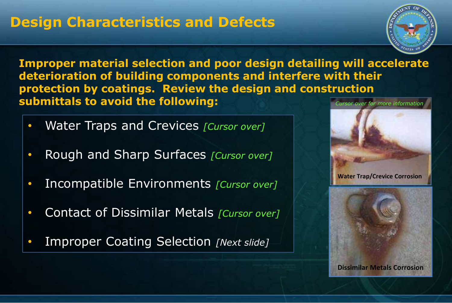# **Design Characteristics and Defects**



**Improper material selection and poor design detailing will accelerate deterioration of building components and interfere with their protection by coatings. Review the design and construction submittals to avoid the following:** *Cursor over for more information*

- Water Traps and Crevices *[Cursor over]*
- Rough and Sharp Surfaces *[Cursor over]*
- Incompatible Environments *[Cursor over]*
- Contact of Dissimilar Metals *[Cursor over]*
- Improper Coating Selection *[Next slide]*

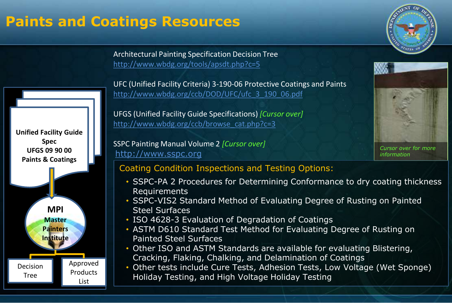# **Paints and Coatings Resources**

Architectural Painting Specification Decision Tree <http://www.wbdg.org/tools/apsdt.php?c=5>

**Unified Facility Guide Spec UFGS 09 90 00 Paints & Coatings MPI Master Painters Institute** Decision Tree Approved **Products** List

UFC (Unified Facility Criteria) 3-190-06 Protective Coatings and Paints [http://www.wbdg.org/ccb/DOD/UFC/ufc\\_3\\_190\\_06.pdf](http://www.wbdg.org/ccb/DOD/UFC/ufc_3_190_06.pdf)

UFGS (Unified Facility Guide Specifications) *[Cursor over]* [http://www.wbdg.org/ccb/browse\\_cat.php?c=3](http://www.wbdg.org/ccb/browse_cat.php?c=3)

SSPC Painting Manual Volume 2 *[Cursor over]* [http://www.sspc.org](http://www.sspc.org/)

#### Coating Condition Inspections and Testing Options:

- SSPC-PA 2 Procedures for Determining Conformance to dry coating thickness **Requirements**
- SSPC-VIS2 Standard Method of Evaluating Degree of Rusting on Painted Steel Surfaces
- ISO 4628-3 Evaluation of Degradation of Coatings
- ASTM D610 Standard Test Method for Evaluating Degree of Rusting on Painted Steel Surfaces
- Other ISO and ASTM Standards are available for evaluating Blistering, Cracking, Flaking, Chalking, and Delamination of Coatings
- Other tests include Cure Tests, Adhesion Tests, Low Voltage (Wet Sponge) Holiday Testing, and High Voltage Holiday Testing



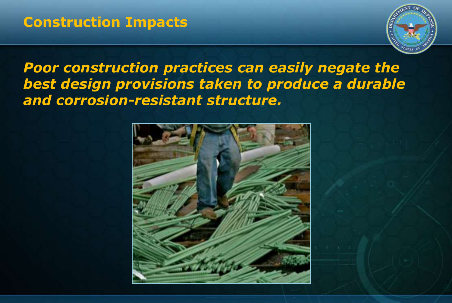

*Poor construction practices can easily negate the best design provisions taken to produce a durable and corrosion-resistant structure.* 

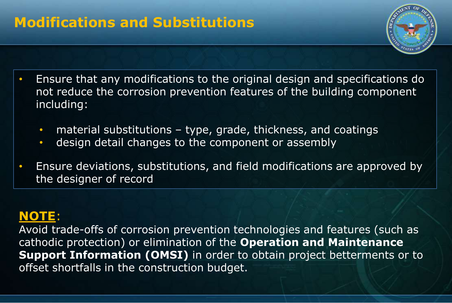### **Modifications and Substitutions**



- Ensure that any modifications to the original design and specifications do not reduce the corrosion prevention features of the building component including:
	- material substitutions type, grade, thickness, and coatings
	- design detail changes to the component or assembly
- Ensure deviations, substitutions, and field modifications are approved by the designer of record

### **NOTE**:

Avoid trade-offs of corrosion prevention technologies and features (such as cathodic protection) or elimination of the **Operation and Maintenance Support Information (OMSI)** in order to obtain project betterments or to offset shortfalls in the construction budget.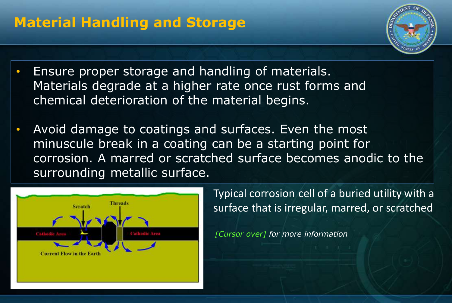

- Ensure proper storage and handling of materials. Materials degrade at a higher rate once rust forms and chemical deterioration of the material begins.
- Avoid damage to coatings and surfaces. Even the most minuscule break in a coating can be a starting point for corrosion. A marred or scratched surface becomes anodic to the surrounding metallic surface.



Typical corrosion cell of a buried utility with a surface that is irregular, marred, or scratched

*[Cursor over] for more information*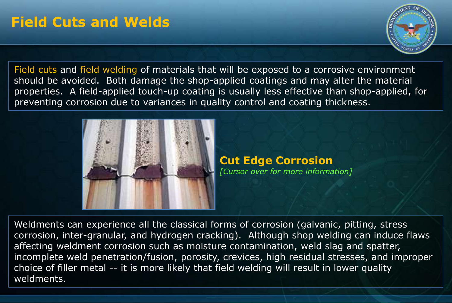

Field cuts and field welding of materials that will be exposed to a corrosive environment should be avoided. Both damage the shop-applied coatings and may alter the material properties. A field-applied touch-up coating is usually less effective than shop-applied, for preventing corrosion due to variances in quality control and coating thickness.



Weldments can experience all the classical forms of corrosion (galvanic, pitting, stress corrosion, inter-granular, and hydrogen cracking). Although shop welding can induce flaws affecting weldment corrosion such as moisture contamination, weld slag and spatter, incomplete weld penetration/fusion, porosity, crevices, high residual stresses, and improper choice of filler metal -- it is more likely that field welding will result in lower quality weldments.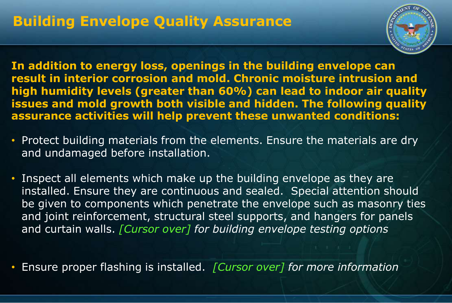# **Building Envelope Quality Assurance**



**In addition to energy loss, openings in the building envelope can result in interior corrosion and mold. Chronic moisture intrusion and high humidity levels (greater than 60%) can lead to indoor air quality issues and mold growth both visible and hidden. The following quality assurance activities will help prevent these unwanted conditions:** 

- Protect building materials from the elements. Ensure the materials are dry and undamaged before installation.
- Inspect all elements which make up the building envelope as they are installed. Ensure they are continuous and sealed. Special attention should be given to components which penetrate the envelope such as masonry ties and joint reinforcement, structural steel supports, and hangers for panels and curtain walls. *[Cursor over] for building envelope testing options*

• Ensure proper flashing is installed. *[Cursor over] for more information*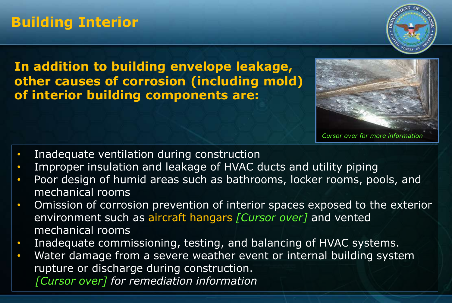# **Building Interior**



**In addition to building envelope leakage, other causes of corrosion (including mold) of interior building components are:**



- Inadequate ventilation during construction
- Improper insulation and leakage of HVAC ducts and utility piping
- Poor design of humid areas such as bathrooms, locker rooms, pools, and mechanical rooms
- Omission of corrosion prevention of interior spaces exposed to the exterior environment such as aircraft hangars *[Cursor over]* and vented mechanical rooms
- Inadequate commissioning, testing, and balancing of HVAC systems.
- Water damage from a severe weather event or internal building system rupture or discharge during construction.  *[Cursor over] for remediation information*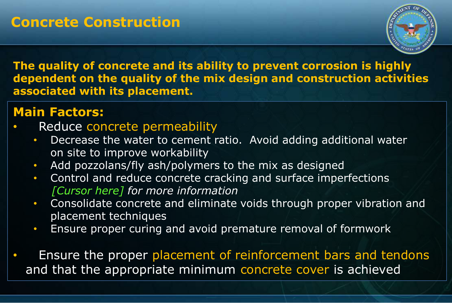

**The quality of concrete and its ability to prevent corrosion is highly dependent on the quality of the mix design and construction activities associated with its placement.**

### **Main Factors:**

- Reduce concrete permeability
	- Decrease the water to cement ratio. Avoid adding additional water on site to improve workability
	- Add pozzolans/fly ash/polymers to the mix as designed
	- Control and reduce concrete cracking and surface imperfections *[Cursor here] for more information*
	- Consolidate concrete and eliminate voids through proper vibration and placement techniques
	- Ensure proper curing and avoid premature removal of formwork
- Ensure the proper placement of reinforcement bars and tendons and that the appropriate minimum concrete cover is achieved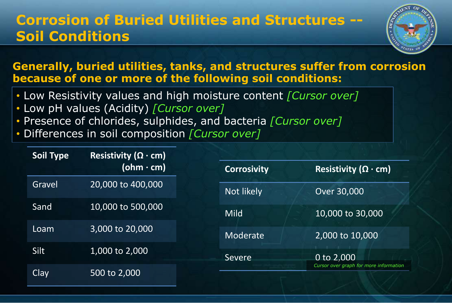# **Corrosion of Buried Utilities and Structures -- Soil Conditions**



#### **Generally, buried utilities, tanks, and structures suffer from corrosion because of one or more of the following soil conditions:**

- Low Resistivity values and high moisture content *[Cursor over]*
- Low pH values (Acidity) *[Cursor over]*
- Presence of chlorides, sulphides, and bacteria *[Cursor over]*
- Differences in soil composition *[Cursor over]*

| Soil Type | Resistivity ( $\Omega \cdot cm$ )<br>$(ohm \cdot cm)$ |                    |                                        |
|-----------|-------------------------------------------------------|--------------------|----------------------------------------|
|           |                                                       | <b>Corrosivity</b> | Resistivity ( $\Omega \cdot cm$ )      |
| Gravel    | 20,000 to 400,000                                     | Not likely         | Over 30,000                            |
| Sand      | 10,000 to 500,000                                     | Mild               | 10,000 to 30,000                       |
| Loam      | 3,000 to 20,000                                       | Moderate           | 2,000 to 10,000                        |
| Silt      | 1,000 to 2,000                                        | <b>Severe</b>      | 0 to $2,000$                           |
| Clay      | 500 to 2,000                                          |                    | Cursor over graph for more information |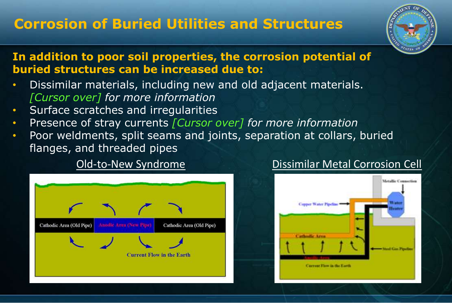# **Corrosion of Buried Utilities and Structures**



#### **In addition to poor soil properties, the corrosion potential of buried structures can be increased due to:**

- Dissimilar materials, including new and old adjacent materials. *[Cursor over] for more information*
- Surface scratches and irregularities
- Presence of stray currents *[Cursor over] for more information*
- Poor weldments, split seams and joints, separation at collars, buried flanges, and threaded pipes

#### Old-to-New Syndrome



#### Dissimilar Metal Corrosion Cell

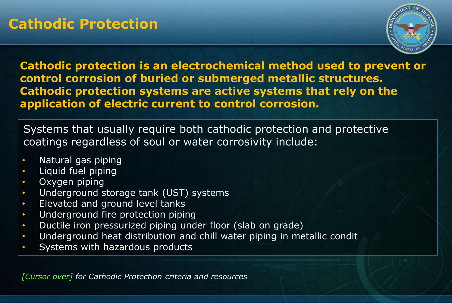

**Cathodic protection is an electrochemical method used to prevent or control corrosion of buried or submerged metallic structures. Cathodic protection systems are active systems that rely on the application of electric current to control corrosion.**

Systems that usually require both cathodic protection and protective coatings regardless of soul or water corrosivity include:

- Natural gas piping
- Liquid fuel piping
- Oxygen piping
- Underground storage tank (UST) systems
- Elevated and ground level tanks
- Underground fire protection piping
- Ductile iron pressurized piping under floor (slab on grade)
- Underground heat distribution and chill water piping in metallic condit
- Systems with hazardous products

*[Cursor over] for Cathodic Protection criteria and resources*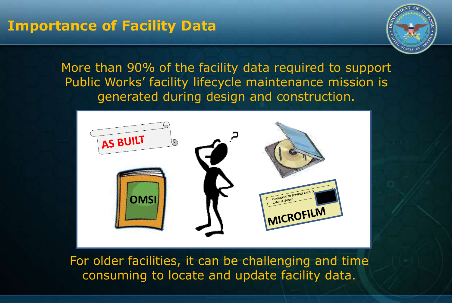### **Importance of Facility Data**



More than 90% of the facility data required to support Public Works' facility lifecycle maintenance mission is generated during design and construction.



For older facilities, it can be challenging and time consuming to locate and update facility data.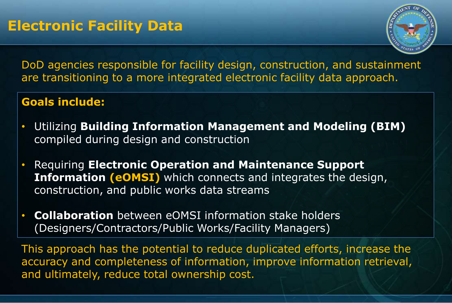

DoD agencies responsible for facility design, construction, and sustainment are transitioning to a more integrated electronic facility data approach.

#### **Goals include:**

- Utilizing **Building Information Management and Modeling (BIM)**  compiled during design and construction
- Requiring **Electronic Operation and Maintenance Support Information (eOMSI)** which connects and integrates the design, construction, and public works data streams
- **Collaboration** between eOMSI information stake holders (Designers/Contractors/Public Works/Facility Managers)

This approach has the potential to reduce duplicated efforts, increase the accuracy and completeness of information, improve information retrieval, and ultimately, reduce total ownership cost.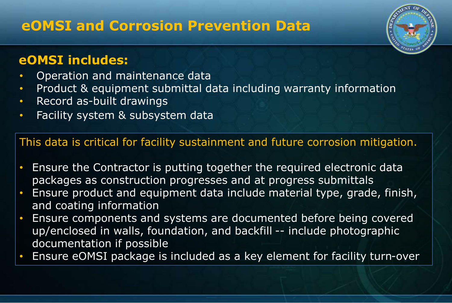# **eOMSI and Corrosion Prevention Data**



#### **eOMSI includes:**

- Operation and maintenance data
- Product & equipment submittal data including warranty information
- Record as-built drawings
- Facility system & subsystem data

#### This data is critical for facility sustainment and future corrosion mitigation.

- Ensure the Contractor is putting together the required electronic data packages as construction progresses and at progress submittals
- Ensure product and equipment data include material type, grade, finish, and coating information
- Ensure components and systems are documented before being covered up/enclosed in walls, foundation, and backfill -- include photographic documentation if possible
- Ensure eOMSI package is included as a key element for facility turn-over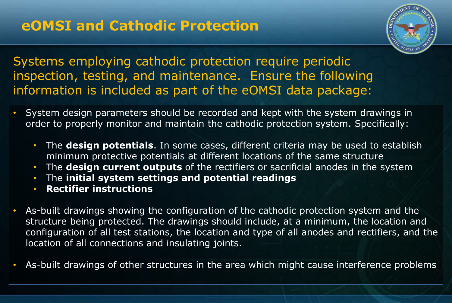### **eOMSI and Cathodic Protection**



Systems employing cathodic protection require periodic inspection, testing, and maintenance. Ensure the following information is included as part of the eOMSI data package:

- System design parameters should be recorded and kept with the system drawings in order to properly monitor and maintain the cathodic protection system. Specifically:
	- The **design potentials**. In some cases, different criteria may be used to establish minimum protective potentials at different locations of the same structure
	- The **design current outputs** of the rectifiers or sacrificial anodes in the system
	- The **initial system settings and potential readings**
	- **Rectifier instructions**
- As-built drawings showing the configuration of the cathodic protection system and the structure being protected. The drawings should include, at a minimum, the location and configuration of all test stations, the location and type of all anodes and rectifiers, and the location of all connections and insulating joints.
- As-built drawings of other structures in the area which might cause interference problems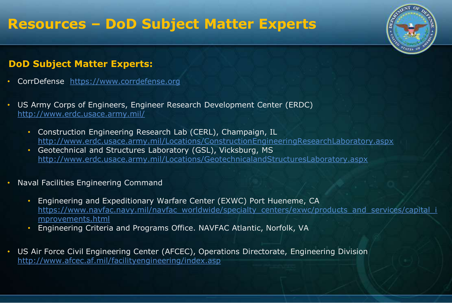# **Resources – DoD Subject Matter Experts**

#### **DoD Subject Matter Experts:**

- CorrDefense [https://www.corrdefense.org](https://www.corrdefense.org/)
- US Army Corps of Engineers, Engineer Research Development Center (ERDC) <http://www.erdc.usace.army.mil/>
	- Construction Engineering Research Lab (CERL), Champaign, IL <http://www.erdc.usace.army.mil/Locations/ConstructionEngineeringResearchLaboratory.aspx>
	- Geotechnical and Structures Laboratory (GSL), Vicksburg, MS <http://www.erdc.usace.army.mil/Locations/GeotechnicalandStructuresLaboratory.aspx>
- Naval Facilities Engineering Command
	- Engineering and Expeditionary Warfare Center (EXWC) Port Hueneme, CA [https://www.navfac.navy.mil/navfac\\_worldwide/specialty\\_centers/exwc/products\\_and\\_services/capital\\_i](https://www.navfac.navy.mil/navfac_worldwide/specialty_centers/exwc/products_and_services/capital_improvements.html) [mprovements.html](https://www.navfac.navy.mil/navfac_worldwide/specialty_centers/exwc/products_and_services/capital_improvements.html)
	- Engineering Criteria and Programs Office. NAVFAC Atlantic, Norfolk, VA
- US Air Force Civil Engineering Center (AFCEC), Operations Directorate, Engineering Division <http://www.afcec.af.mil/facilityengineering/index.asp>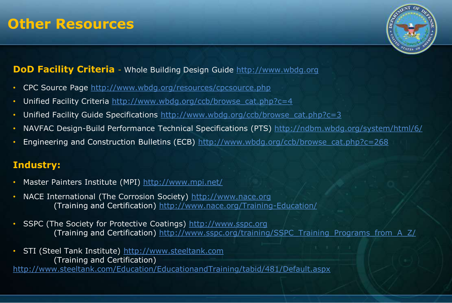### **Other Resources**



#### **DoD Facility Criteria** - Whole Building Design Guide <http://www.wbdg.org>

- CPC Source Page<http://www.wbdg.org/resources/cpcsource.php>
- Unified Facility Criteria [http://www.wbdg.org/ccb/browse\\_cat.php?c=4](http://www.wbdg.org/ccb/browse_cat.php?c=4)
- Unified Facility Guide Specifications [http://www.wbdg.org/ccb/browse\\_cat.php?c=3](http://www.wbdg.org/ccb/browse_cat.php?c=3)
- NAVFAC Design-Build Performance Technical Specifications (PTS)<http://ndbm.wbdg.org/system/html/6/>
- Engineering and Construction Bulletins (ECB) [http://www.wbdg.org/ccb/browse\\_cat.php?c=268](http://www.wbdg.org/ccb/browse_cat.php?c=268)

#### **Industry:**

- Master Painters Institute (MPI) <http://www.mpi.net/>
- NACE International (The Corrosion Society) [http://www.nace.org](http://www.nace.org/) (Training and Certification)<http://www.nace.org/Training-Education/>
- SSPC (The Society for Protective Coatings) [http://www.sspc.org](http://www.sspc.org/) (Training and Certification) [http://www.sspc.org/training/SSPC\\_Training\\_Programs\\_from\\_A\\_Z/](http://www.sspc.org/training/SSPC_Training_Programs_from_A_Z/)
- STI (Steel Tank Institute) [http://www.steeltank.com](http://www.steeltank.com/) (Training and Certification) <http://www.steeltank.com/Education/EducationandTraining/tabid/481/Default.aspx>